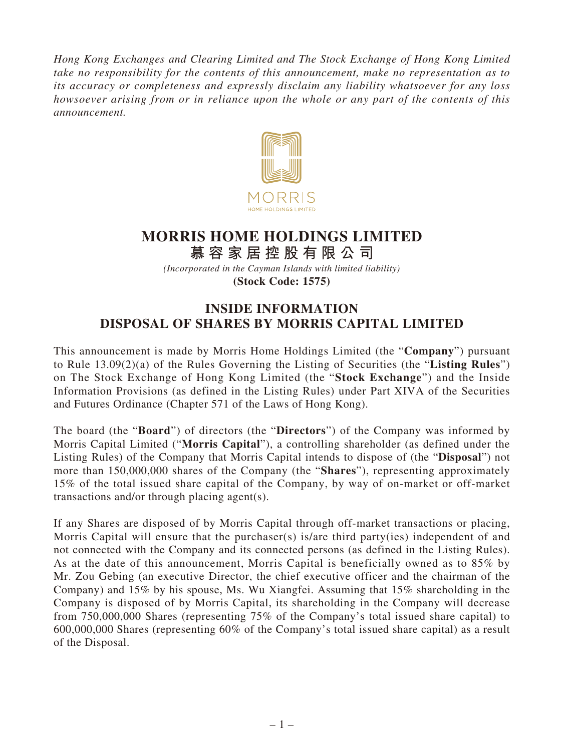*Hong Kong Exchanges and Clearing Limited and The Stock Exchange of Hong Kong Limited take no responsibility for the contents of this announcement, make no representation as to its accuracy or completeness and expressly disclaim any liability whatsoever for any loss howsoever arising from or in reliance upon the whole or any part of the contents of this announcement.*



## **MORRIS HOME HOLDINGS LIMITED**

**慕容家居控股有限公司** *(Incorporated in the Cayman Islands with limited liability)* **(Stock Code: 1575)**

## **INSIDE INFORMATION DISPOSAL OF SHARES BY MORRIS CAPITAL LIMITED**

This announcement is made by Morris Home Holdings Limited (the "**Company**") pursuant to Rule 13.09(2)(a) of the Rules Governing the Listing of Securities (the "**Listing Rules**") on The Stock Exchange of Hong Kong Limited (the "**Stock Exchange**") and the Inside Information Provisions (as defined in the Listing Rules) under Part XIVA of the Securities and Futures Ordinance (Chapter 571 of the Laws of Hong Kong).

The board (the "**Board**") of directors (the "**Directors**") of the Company was informed by Morris Capital Limited ("**Morris Capital**"), a controlling shareholder (as defined under the Listing Rules) of the Company that Morris Capital intends to dispose of (the "**Disposal**") not more than 150,000,000 shares of the Company (the "**Shares**"), representing approximately 15% of the total issued share capital of the Company, by way of on-market or off-market transactions and/or through placing agent(s).

If any Shares are disposed of by Morris Capital through off-market transactions or placing, Morris Capital will ensure that the purchaser(s) is/are third party(ies) independent of and not connected with the Company and its connected persons (as defined in the Listing Rules). As at the date of this announcement, Morris Capital is beneficially owned as to 85% by Mr. Zou Gebing (an executive Director, the chief executive officer and the chairman of the Company) and 15% by his spouse, Ms. Wu Xiangfei. Assuming that 15% shareholding in the Company is disposed of by Morris Capital, its shareholding in the Company will decrease from 750,000,000 Shares (representing 75% of the Company's total issued share capital) to 600,000,000 Shares (representing 60% of the Company's total issued share capital) as a result of the Disposal.